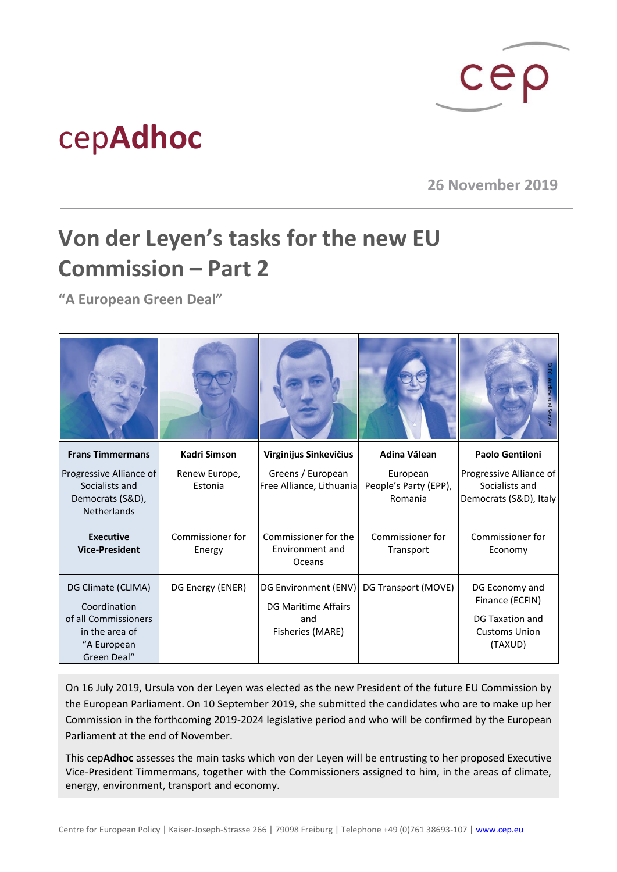

## cep**Adhoc**

**26 November 2019**

## **Von der Leyen's tasks for the new EU Commission – Part 2**

**"A European Green Deal"**

|                                                                                                            |                            |                                                                               |                                              | lovisual                                                                                |
|------------------------------------------------------------------------------------------------------------|----------------------------|-------------------------------------------------------------------------------|----------------------------------------------|-----------------------------------------------------------------------------------------|
| <b>Frans Timmermans</b>                                                                                    | <b>Kadri Simson</b>        | Virginijus Sinkevičius                                                        | Adina Vălean                                 | <b>Paolo Gentiloni</b>                                                                  |
| Progressive Alliance of<br>Socialists and<br>Democrats (S&D),<br><b>Netherlands</b>                        | Renew Europe,<br>Estonia   | Greens / European<br>Free Alliance, Lithuania                                 | European<br>People's Party (EPP),<br>Romania | Progressive Alliance of<br>Socialists and<br>Democrats (S&D), Italy                     |
| <b>Executive</b><br><b>Vice-President</b>                                                                  | Commissioner for<br>Energy | Commissioner for the<br>Environment and<br>Oceans                             | Commissioner for<br>Transport                | Commissioner for<br>Economy                                                             |
| DG Climate (CLIMA)<br>Coordination<br>of all Commissioners<br>in the area of<br>"A European<br>Green Deal" | DG Energy (ENER)           | DG Environment (ENV)<br><b>DG Maritime Affairs</b><br>and<br>Fisheries (MARE) | DG Transport (MOVE)                          | DG Economy and<br>Finance (ECFIN)<br>DG Taxation and<br><b>Customs Union</b><br>(TAXUD) |

On 16 July 2019, Ursula von der Leyen was elected as the new President of the future EU Commission by the European Parliament. On 10 September 2019, she submitted the candidates who are to make up her Commission in the forthcoming 2019-2024 legislative period and who will be confirmed by the European Parliament at the end of November.

This cep**Adhoc** assesses the main tasks which von der Leyen will be entrusting to her proposed Executive Vice-President Timmermans, together with the Commissioners assigned to him, in the areas of climate, energy, environment, transport and economy.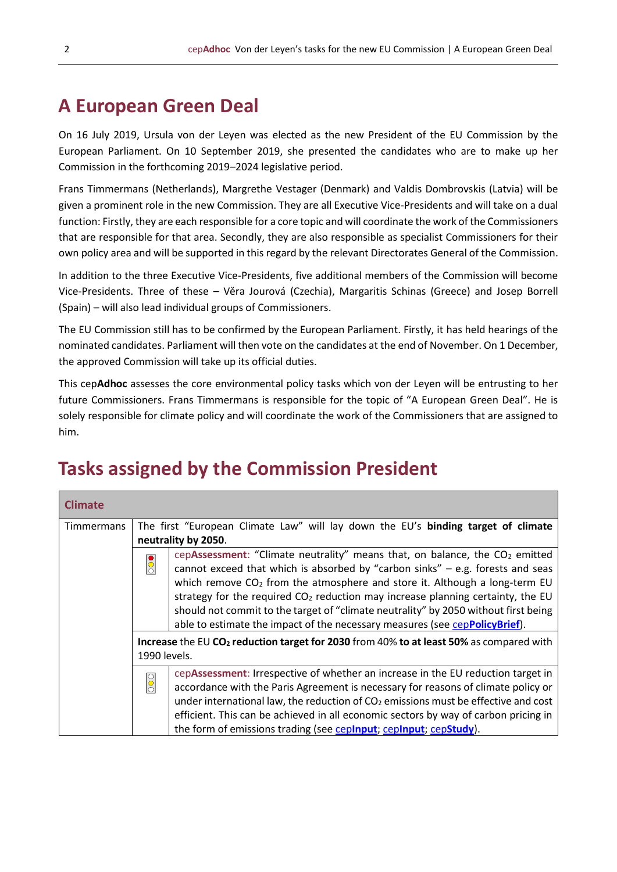## **A European Green Deal**

On 16 July 2019, Ursula von der Leyen was elected as the new President of the EU Commission by the European Parliament. On 10 September 2019, she presented the candidates who are to make up her Commission in the forthcoming 2019–2024 legislative period.

Frans Timmermans (Netherlands), Margrethe Vestager (Denmark) and Valdis Dombrovskis (Latvia) will be given a prominent role in the new Commission. They are all Executive Vice-Presidents and will take on a dual function: Firstly, they are each responsible for a core topic and will coordinate the work of the Commissioners that are responsible for that area. Secondly, they are also responsible as specialist Commissioners for their own policy area and will be supported in this regard by the relevant Directorates General of the Commission.

In addition to the three Executive Vice-Presidents, five additional members of the Commission will become Vice-Presidents. Three of these – Věra Jourová (Czechia), Margaritis Schinas (Greece) and Josep Borrell (Spain) – will also lead individual groups of Commissioners.

The EU Commission still has to be confirmed by the European Parliament. Firstly, it has held hearings of the nominated candidates. Parliament will then vote on the candidates at the end of November. On 1 December, the approved Commission will take up its official duties.

This cep**Adhoc** assesses the core environmental policy tasks which von der Leyen will be entrusting to her future Commissioners. Frans Timmermans is responsible for the topic of "A European Green Deal". He is solely responsible for climate policy and will coordinate the work of the Commissioners that are assigned to him.

## **Tasks assigned by the Commission President**

| <b>Climate</b> |                                                                                                                                                                                                                                                                                                                                                                                                                                                                                                                    |  |  |  |
|----------------|--------------------------------------------------------------------------------------------------------------------------------------------------------------------------------------------------------------------------------------------------------------------------------------------------------------------------------------------------------------------------------------------------------------------------------------------------------------------------------------------------------------------|--|--|--|
| Timmermans     | The first "European Climate Law" will lay down the EU's binding target of climate<br>neutrality by 2050.                                                                                                                                                                                                                                                                                                                                                                                                           |  |  |  |
|                | cepAssessment: "Climate neutrality" means that, on balance, the $CO2$ emitted<br>lē<br>cannot exceed that which is absorbed by "carbon sinks" $-$ e.g. forests and seas<br>which remove $CO2$ from the atmosphere and store it. Although a long-term EU<br>strategy for the required $CO2$ reduction may increase planning certainty, the EU<br>should not commit to the target of "climate neutrality" by 2050 without first being<br>able to estimate the impact of the necessary measures (see cepPolicyBrief). |  |  |  |
|                | Increase the EU CO <sub>2</sub> reduction target for 2030 from 40% to at least 50% as compared with<br>1990 levels.                                                                                                                                                                                                                                                                                                                                                                                                |  |  |  |
|                | cepAssessment: Irrespective of whether an increase in the EU reduction target in<br>$\frac{1}{0}$<br>accordance with the Paris Agreement is necessary for reasons of climate policy or<br>under international law, the reduction of $CO2$ emissions must be effective and cost<br>efficient. This can be achieved in all economic sectors by way of carbon pricing in<br>the form of emissions trading (see cepinput; cepinput; cepStudy).                                                                         |  |  |  |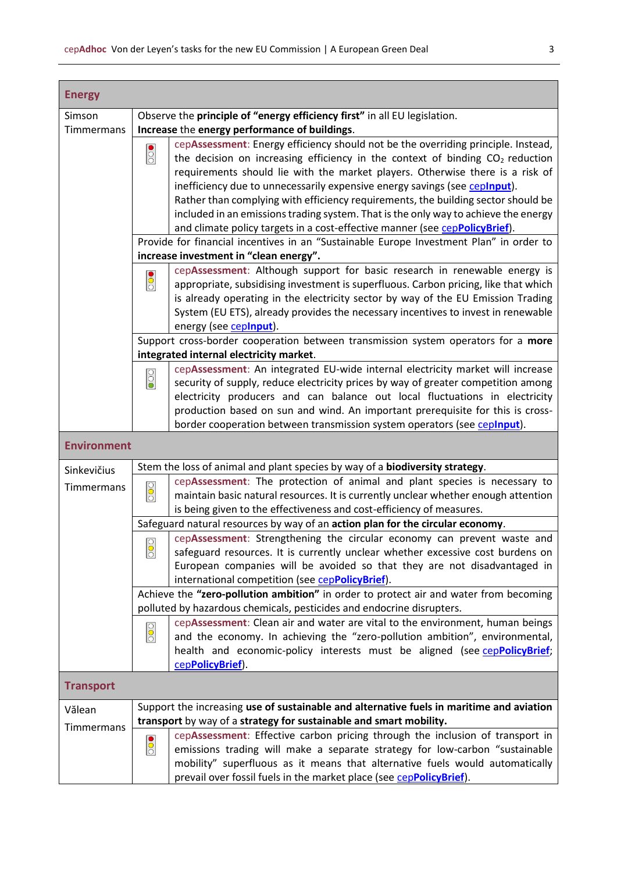| <b>Energy</b>      |                                                                                   |                                                                                                                                                                                                                                                         |  |  |  |  |
|--------------------|-----------------------------------------------------------------------------------|---------------------------------------------------------------------------------------------------------------------------------------------------------------------------------------------------------------------------------------------------------|--|--|--|--|
| Simson             | Observe the principle of "energy efficiency first" in all EU legislation.         |                                                                                                                                                                                                                                                         |  |  |  |  |
| Timmermans         | Increase the energy performance of buildings.                                     |                                                                                                                                                                                                                                                         |  |  |  |  |
|                    | $\overline{\text{}}$                                                              | cepAssessment: Energy efficiency should not be the overriding principle. Instead,<br>the decision on increasing efficiency in the context of binding $CO2$ reduction                                                                                    |  |  |  |  |
|                    |                                                                                   | requirements should lie with the market players. Otherwise there is a risk of<br>inefficiency due to unnecessarily expensive energy savings (see ceplnput).                                                                                             |  |  |  |  |
|                    |                                                                                   | Rather than complying with efficiency requirements, the building sector should be<br>included in an emissions trading system. That is the only way to achieve the energy<br>and climate policy targets in a cost-effective manner (see cepPolicyBrief). |  |  |  |  |
|                    |                                                                                   | Provide for financial incentives in an "Sustainable Europe Investment Plan" in order to                                                                                                                                                                 |  |  |  |  |
|                    | increase investment in "clean energy".                                            |                                                                                                                                                                                                                                                         |  |  |  |  |
|                    | cepAssessment: Although support for basic research in renewable energy is         |                                                                                                                                                                                                                                                         |  |  |  |  |
|                    | $\overline{\frac{1}{20}}$                                                         | appropriate, subsidising investment is superfluous. Carbon pricing, like that which                                                                                                                                                                     |  |  |  |  |
|                    |                                                                                   | is already operating in the electricity sector by way of the EU Emission Trading                                                                                                                                                                        |  |  |  |  |
|                    |                                                                                   | System (EU ETS), already provides the necessary incentives to invest in renewable<br>energy (see ceplnput).                                                                                                                                             |  |  |  |  |
|                    | Support cross-border cooperation between transmission system operators for a more |                                                                                                                                                                                                                                                         |  |  |  |  |
|                    | integrated internal electricity market.                                           |                                                                                                                                                                                                                                                         |  |  |  |  |
|                    |                                                                                   | cepAssessment: An integrated EU-wide internal electricity market will increase                                                                                                                                                                          |  |  |  |  |
|                    | $\overline{\text{00}}$                                                            | security of supply, reduce electricity prices by way of greater competition among                                                                                                                                                                       |  |  |  |  |
|                    |                                                                                   | electricity producers and can balance out local fluctuations in electricity                                                                                                                                                                             |  |  |  |  |
|                    |                                                                                   | production based on sun and wind. An important prerequisite for this is cross-                                                                                                                                                                          |  |  |  |  |
|                    |                                                                                   | border cooperation between transmission system operators (see ceplnput).                                                                                                                                                                                |  |  |  |  |
|                    |                                                                                   |                                                                                                                                                                                                                                                         |  |  |  |  |
| <b>Environment</b> |                                                                                   |                                                                                                                                                                                                                                                         |  |  |  |  |
| Sinkevičius        |                                                                                   | Stem the loss of animal and plant species by way of a biodiversity strategy.                                                                                                                                                                            |  |  |  |  |
| Timmermans         | $\overline{\text{O}}$                                                             | cepAssessment: The protection of animal and plant species is necessary to<br>maintain basic natural resources. It is currently unclear whether enough attention                                                                                         |  |  |  |  |
|                    |                                                                                   | is being given to the effectiveness and cost-efficiency of measures.                                                                                                                                                                                    |  |  |  |  |
|                    |                                                                                   | Safeguard natural resources by way of an action plan for the circular economy.                                                                                                                                                                          |  |  |  |  |
|                    | ा<br>$\overline{\circ}$                                                           | cepAssessment: Strengthening the circular economy can prevent waste and<br>safeguard resources. It is currently unclear whether excessive cost burdens on                                                                                               |  |  |  |  |
|                    |                                                                                   | European companies will be avoided so that they are not disadvantaged in<br>international competition (see cepPolicyBrief).                                                                                                                             |  |  |  |  |
|                    |                                                                                   | Achieve the "zero-pollution ambition" in order to protect air and water from becoming                                                                                                                                                                   |  |  |  |  |
|                    |                                                                                   | polluted by hazardous chemicals, pesticides and endocrine disrupters.                                                                                                                                                                                   |  |  |  |  |
|                    |                                                                                   | cepAssessment: Clean air and water are vital to the environment, human beings                                                                                                                                                                           |  |  |  |  |
|                    | $rac{1}{2}$                                                                       | and the economy. In achieving the "zero-pollution ambition", environmental,                                                                                                                                                                             |  |  |  |  |
|                    |                                                                                   | health and economic-policy interests must be aligned (see cepPolicyBrief;                                                                                                                                                                               |  |  |  |  |
|                    |                                                                                   | cepPolicyBrief).                                                                                                                                                                                                                                        |  |  |  |  |
| <b>Transport</b>   |                                                                                   |                                                                                                                                                                                                                                                         |  |  |  |  |
| Vălean             |                                                                                   | Support the increasing use of sustainable and alternative fuels in maritime and aviation                                                                                                                                                                |  |  |  |  |
| Timmermans         |                                                                                   | transport by way of a strategy for sustainable and smart mobility.                                                                                                                                                                                      |  |  |  |  |
|                    |                                                                                   | cepAssessment: Effective carbon pricing through the inclusion of transport in                                                                                                                                                                           |  |  |  |  |
|                    | $\overline{\frac{1}{20}}$                                                         | emissions trading will make a separate strategy for low-carbon "sustainable                                                                                                                                                                             |  |  |  |  |
|                    |                                                                                   | mobility" superfluous as it means that alternative fuels would automatically<br>prevail over fossil fuels in the market place (see cepPolicyBrief).                                                                                                     |  |  |  |  |